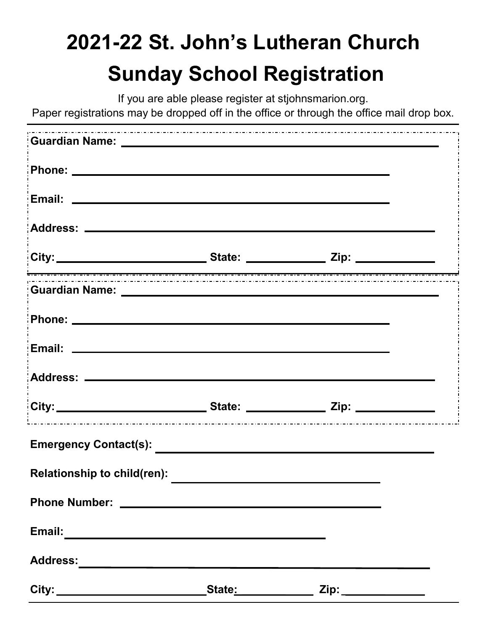## **2021-22 St. John's Lutheran Church Sunday School Registration**

If you are able please register at stjohnsmarion.org.

Paper registrations may be dropped off in the office or through the office mail drop box.

| City: ___________________________________State: ______________________Zip: ________________________ |  |  |
|-----------------------------------------------------------------------------------------------------|--|--|
|                                                                                                     |  |  |
|                                                                                                     |  |  |
|                                                                                                     |  |  |
|                                                                                                     |  |  |
| .<br>City:___________________________State: ______________ Zip: ____________________                |  |  |
|                                                                                                     |  |  |
| <b>Relationship to child(ren):</b>                                                                  |  |  |
|                                                                                                     |  |  |
|                                                                                                     |  |  |
|                                                                                                     |  |  |
| City: ________________________________State <u>: ________________</u> Zip: ________________         |  |  |